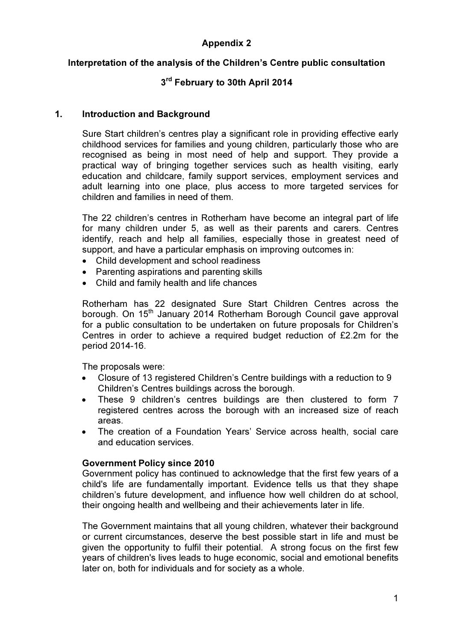# Appendix 2

## Interpretation of the analysis of the Children's Centre public consultation

# 3<sup>rd</sup> February to 30th April 2014

## 1. Introduction and Background

Sure Start children's centres play a significant role in providing effective early childhood services for families and young children, particularly those who are recognised as being in most need of help and support. They provide a practical way of bringing together services such as health visiting, early education and childcare, family support services, employment services and adult learning into one place, plus access to more targeted services for children and families in need of them.

The 22 children's centres in Rotherham have become an integral part of life for many children under 5, as well as their parents and carers. Centres identify, reach and help all families, especially those in greatest need of support, and have a particular emphasis on improving outcomes in:

- Child development and school readiness
- Parenting aspirations and parenting skills
- Child and family health and life chances

Rotherham has 22 designated Sure Start Children Centres across the borough. On 15<sup>th</sup> January 2014 Rotherham Borough Council gave approval for a public consultation to be undertaken on future proposals for Children's Centres in order to achieve a required budget reduction of £2.2m for the period 2014-16.

The proposals were:

- Closure of 13 registered Children's Centre buildings with a reduction to 9 Children's Centres buildings across the borough.
- These 9 children's centres buildings are then clustered to form 7 registered centres across the borough with an increased size of reach areas.
- The creation of a Foundation Years' Service across health, social care and education services.

## Government Policy since 2010

Government policy has continued to acknowledge that the first few years of a child's life are fundamentally important. Evidence tells us that they shape children's future development, and influence how well children do at school, their ongoing health and wellbeing and their achievements later in life.

The Government maintains that all young children, whatever their background or current circumstances, deserve the best possible start in life and must be given the opportunity to fulfil their potential. A strong focus on the first few years of children's lives leads to huge economic, social and emotional benefits later on, both for individuals and for society as a whole.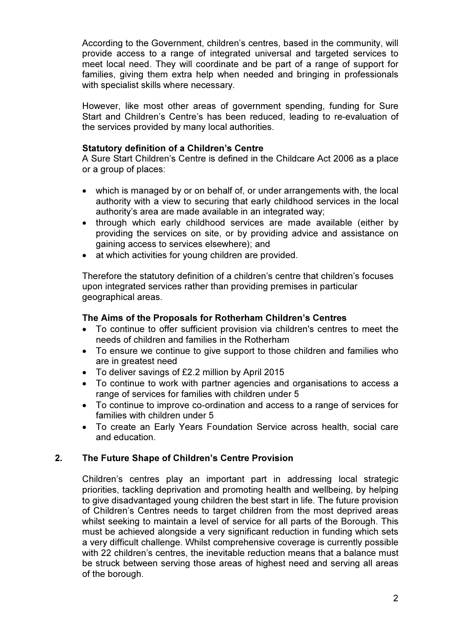According to the Government, children's centres, based in the community, will provide access to a range of integrated universal and targeted services to meet local need. They will coordinate and be part of a range of support for families, giving them extra help when needed and bringing in professionals with specialist skills where necessary.

However, like most other areas of government spending, funding for Sure Start and Children's Centre's has been reduced, leading to re-evaluation of the services provided by many local authorities.

## Statutory definition of a Children's Centre

A Sure Start Children's Centre is defined in the Childcare Act 2006 as a place or a group of places:

- which is managed by or on behalf of, or under arrangements with, the local authority with a view to securing that early childhood services in the local authority's area are made available in an integrated way;
- through which early childhood services are made available (either by providing the services on site, or by providing advice and assistance on gaining access to services elsewhere); and
- at which activities for young children are provided.

Therefore the statutory definition of a children's centre that children's focuses upon integrated services rather than providing premises in particular geographical areas.

### The Aims of the Proposals for Rotherham Children's Centres

- To continue to offer sufficient provision via children's centres to meet the needs of children and families in the Rotherham
- To ensure we continue to give support to those children and families who are in greatest need
- To deliver savings of £2.2 million by April 2015
- To continue to work with partner agencies and organisations to access a range of services for families with children under 5
- To continue to improve co-ordination and access to a range of services for families with children under 5
- To create an Early Years Foundation Service across health, social care and education.

## 2. The Future Shape of Children's Centre Provision

Children's centres play an important part in addressing local strategic priorities, tackling deprivation and promoting health and wellbeing, by helping to give disadvantaged young children the best start in life. The future provision of Children's Centres needs to target children from the most deprived areas whilst seeking to maintain a level of service for all parts of the Borough. This must be achieved alongside a very significant reduction in funding which sets a very difficult challenge. Whilst comprehensive coverage is currently possible with 22 children's centres, the inevitable reduction means that a balance must be struck between serving those areas of highest need and serving all areas of the borough.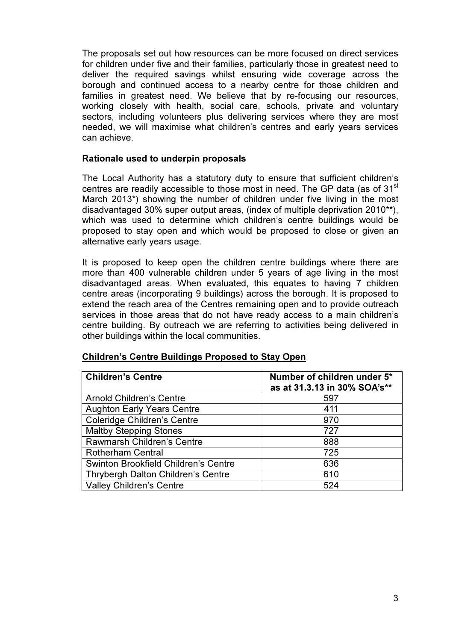The proposals set out how resources can be more focused on direct services for children under five and their families, particularly those in greatest need to deliver the required savings whilst ensuring wide coverage across the borough and continued access to a nearby centre for those children and families in greatest need. We believe that by re-focusing our resources, working closely with health, social care, schools, private and voluntary sectors, including volunteers plus delivering services where they are most needed, we will maximise what children's centres and early years services can achieve.

### Rationale used to underpin proposals

The Local Authority has a statutory duty to ensure that sufficient children's centres are readily accessible to those most in need. The GP data (as of 31<sup>st</sup>) March 2013\*) showing the number of children under five living in the most disadvantaged 30% super output areas, (index of multiple deprivation 2010\*\*), which was used to determine which children's centre buildings would be proposed to stay open and which would be proposed to close or given an alternative early years usage.

It is proposed to keep open the children centre buildings where there are more than 400 vulnerable children under 5 years of age living in the most disadvantaged areas. When evaluated, this equates to having 7 children centre areas (incorporating 9 buildings) across the borough. It is proposed to extend the reach area of the Centres remaining open and to provide outreach services in those areas that do not have ready access to a main children's centre building. By outreach we are referring to activities being delivered in other buildings within the local communities.

| <b>Children's Centre</b>                    | Number of children under 5*<br>as at 31.3.13 in 30% SOA's** |
|---------------------------------------------|-------------------------------------------------------------|
| <b>Arnold Children's Centre</b>             | 597                                                         |
| <b>Aughton Early Years Centre</b>           | 411                                                         |
| <b>Coleridge Children's Centre</b>          | 970                                                         |
| <b>Maltby Stepping Stones</b>               | 727                                                         |
| Rawmarsh Children's Centre                  | 888                                                         |
| <b>Rotherham Central</b>                    | 725                                                         |
| <b>Swinton Brookfield Children's Centre</b> | 636                                                         |
| Thrybergh Dalton Children's Centre          | 610                                                         |
| <b>Valley Children's Centre</b>             | 524                                                         |

#### Children's Centre Buildings Proposed to Stay Open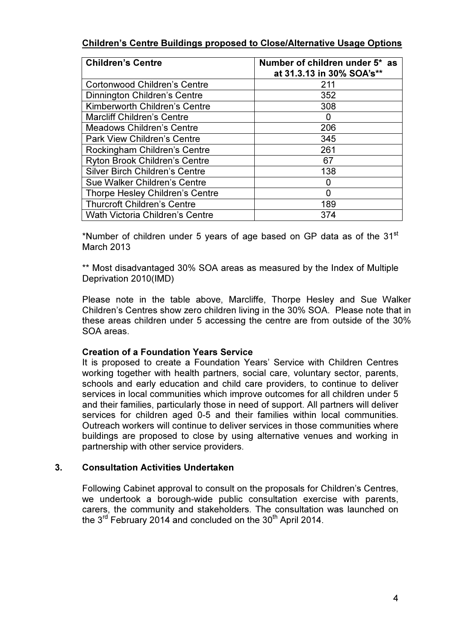## Children's Centre Buildings proposed to Close/Alternative Usage Options

| <b>Children's Centre</b>               | Number of children under 5* as<br>at 31.3.13 in 30% SOA's** |
|----------------------------------------|-------------------------------------------------------------|
| <b>Cortonwood Children's Centre</b>    | 211                                                         |
| Dinnington Children's Centre           | 352                                                         |
| Kimberworth Children's Centre          | 308                                                         |
| <b>Marcliff Children's Centre</b>      | 0                                                           |
| <b>Meadows Children's Centre</b>       | 206                                                         |
| <b>Park View Children's Centre</b>     | 345                                                         |
| Rockingham Children's Centre           | 261                                                         |
| <b>Ryton Brook Children's Centre</b>   | 67                                                          |
| <b>Silver Birch Children's Centre</b>  | 138                                                         |
| Sue Walker Children's Centre           |                                                             |
| Thorpe Hesley Children's Centre        | O                                                           |
| <b>Thurcroft Children's Centre</b>     | 189                                                         |
| <b>Wath Victoria Children's Centre</b> | 374                                                         |

\*Number of children under 5 years of age based on GP data as of the  $31<sup>st</sup>$ March 2013

\*\* Most disadvantaged 30% SOA areas as measured by the Index of Multiple Deprivation 2010(IMD)

Please note in the table above, Marcliffe, Thorpe Hesley and Sue Walker Children's Centres show zero children living in the 30% SOA. Please note that in these areas children under 5 accessing the centre are from outside of the 30% SOA areas.

## Creation of a Foundation Years Service

It is proposed to create a Foundation Years' Service with Children Centres working together with health partners, social care, voluntary sector, parents, schools and early education and child care providers, to continue to deliver services in local communities which improve outcomes for all children under 5 and their families, particularly those in need of support. All partners will deliver services for children aged 0-5 and their families within local communities. Outreach workers will continue to deliver services in those communities where buildings are proposed to close by using alternative venues and working in partnership with other service providers.

## 3. Consultation Activities Undertaken

Following Cabinet approval to consult on the proposals for Children's Centres, we undertook a borough-wide public consultation exercise with parents, carers, the community and stakeholders. The consultation was launched on the  $3^{rd}$  February 2014 and concluded on the  $30^{th}$  April 2014.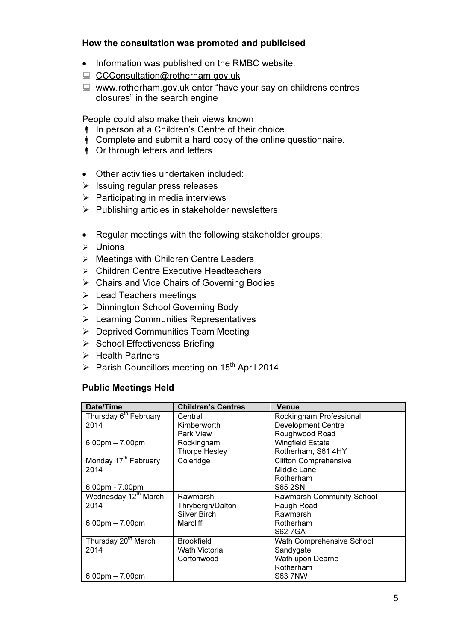## How the consultation was promoted and publicised

- Information was published on the RMBC website.
- CCConsultation@rotherham.gov.uk
- $\Box$  www.rotherham.gov.uk enter "have your say on childrens centres closures" in the search engine

People could also make their views known

- In person at a Children's Centre of their choice
- Complete and submit a hard copy of the online questionnaire.
- **i** Or through letters and letters
- Other activities undertaken included:
- > Issuing regular press releases
- > Participating in media interviews
- > Publishing articles in stakeholder newsletters
- Regular meetings with the following stakeholder groups:
- > Unions
- > Meetings with Children Centre Leaders
- ▶ Children Centre Executive Headteachers
- ▶ Chairs and Vice Chairs of Governing Bodies
- > Lead Teachers meetings
- > Dinnington School Governing Body
- ▶ Learning Communities Representatives
- > Deprived Communities Team Meeting
- > School Effectiveness Briefing
- > Health Partners
- > Parish Councillors meeting on 15<sup>th</sup> April 2014

## Public Meetings Held

| Date/Time                         | <b>Children's Centres</b> | Venue                        |
|-----------------------------------|---------------------------|------------------------------|
| Thursday 6 <sup>th</sup> February | Central                   | Rockingham Professional      |
| 2014                              | Kimberworth               | <b>Development Centre</b>    |
|                                   | Park View                 | Roughwood Road               |
| $6.00 \text{pm} - 7.00 \text{pm}$ | Rockingham                | <b>Wingfield Estate</b>      |
|                                   | <b>Thorpe Hesley</b>      | Rotherham, S61 4HY           |
| Monday 17 <sup>th</sup> February  | Coleridge                 | <b>Clifton Comprehensive</b> |
| 2014                              |                           | Middle Lane                  |
|                                   |                           | Rotherham                    |
| 6.00pm - 7.00pm                   |                           | S65 2SN                      |
| Wednesday 12 <sup>th</sup> March  | Rawmarsh                  | Rawmarsh Community School    |
| 2014                              | Thrybergh/Dalton          | Haugh Road                   |
|                                   | <b>Silver Birch</b>       | Rawmarsh                     |
| $6.00 \text{pm} - 7.00 \text{pm}$ | Marcliff                  | Rotherham                    |
|                                   |                           | S62 7GA                      |
| Thursday 20 <sup>th</sup> March   | <b>Brookfield</b>         | Wath Comprehensive School    |
| 2014                              | Wath Victoria             | Sandygate                    |
|                                   | Cortonwood                | Wath upon Dearne             |
|                                   |                           | Rotherham                    |
| $6.00 \text{pm} - 7.00 \text{pm}$ |                           | S63 7NW                      |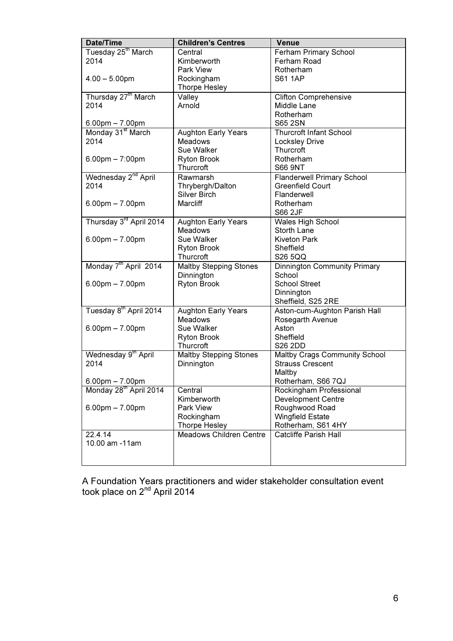| Date/Time                          | <b>Children's Centres</b>      | Venue                                |
|------------------------------------|--------------------------------|--------------------------------------|
| Tuesday 25 <sup>th</sup> March     | Central                        | Ferham Primary School                |
| 2014                               | Kimberworth                    | Ferham Road                          |
|                                    | Park View                      | Rotherham                            |
| $4.00 - 5.00$ pm                   | Rockingham                     | <b>S61 1AP</b>                       |
|                                    | <b>Thorpe Hesley</b>           |                                      |
| Thursday 27 <sup>th</sup> March    | Valley                         | <b>Clifton Comprehensive</b>         |
| 2014                               | Arnold                         | Middle Lane                          |
|                                    |                                | Rotherham                            |
| 6.00pm – 7.00pm                    |                                | S65 2SN                              |
| Monday 31 <sup>st</sup> March      | <b>Aughton Early Years</b>     | <b>Thurcroft Infant School</b>       |
| 2014                               | <b>Meadows</b>                 | <b>Locksley Drive</b>                |
|                                    | Sue Walker                     | Thurcroft                            |
| $6.00$ pm $- 7:00$ pm              | <b>Ryton Brook</b>             | Rotherham                            |
|                                    | Thurcroft                      | <b>S66 9NT</b>                       |
| Wednesday 2 <sup>nd</sup> April    | Rawmarsh                       | Flanderwell Primary School           |
| 2014                               | Thrybergh/Dalton               | <b>Greenfield Court</b>              |
|                                    | <b>Silver Birch</b>            | Flanderwell                          |
| $6.00$ pm $- 7.00$ pm              | Marcliff                       | Rotherham                            |
|                                    |                                | S66 2JF                              |
| Thursday 3rd April 2014            | <b>Aughton Early Years</b>     | Wales High School                    |
|                                    | <b>Meadows</b>                 | <b>Storth Lane</b>                   |
| $6.00$ pm $- 7.00$ pm              | Sue Walker                     | <b>Kiveton Park</b>                  |
|                                    | <b>Ryton Brook</b>             | Sheffield                            |
|                                    | Thurcroft                      | S26 5QQ                              |
| Monday 7 <sup>th</sup> April 2014  | <b>Maltby Stepping Stones</b>  | Dinnington Community Primary         |
|                                    | Dinnington                     | School                               |
| $6.00$ pm $- 7.00$ pm              | <b>Ryton Brook</b>             | <b>School Street</b>                 |
|                                    |                                | Dinnington                           |
|                                    |                                | Sheffield, S25 2RE                   |
| Tuesday 8 <sup>th</sup> April 2014 | <b>Aughton Early Years</b>     | Aston-cum-Aughton Parish Hall        |
|                                    | <b>Meadows</b>                 | Rosegarth Avenue                     |
| $6.00$ pm $- 7.00$ pm              | Sue Walker                     | Aston                                |
|                                    | <b>Ryton Brook</b>             | Sheffield                            |
|                                    | Thurcroft                      | <b>S26 2DD</b>                       |
| Wednesday 9 <sup>th</sup> April    | <b>Maltby Stepping Stones</b>  | <b>Maltby Crags Community School</b> |
| 2014                               | Dinnington                     | <b>Strauss Crescent</b>              |
|                                    |                                | Maltby                               |
| $6.00$ pm $- 7.00$ pm              |                                | Rotherham, S66 7QJ                   |
| Monday 28 <sup>th</sup> April 2014 | Central                        | Rockingham Professional              |
|                                    | Kimberworth                    | <b>Development Centre</b>            |
| $6.00$ pm $- 7.00$ pm              | Park View                      | Roughwood Road                       |
|                                    | Rockingham                     | <b>Wingfield Estate</b>              |
|                                    | Thorpe Hesley                  | Rotherham, S61 4HY                   |
| 22.4.14                            | <b>Meadows Children Centre</b> | <b>Catcliffe Parish Hall</b>         |
| 10.00 am -11 am                    |                                |                                      |
|                                    |                                |                                      |
|                                    |                                |                                      |

A Foundation Years practitioners and wider stakeholder consultation event took place on 2<sup>nd</sup> April 2014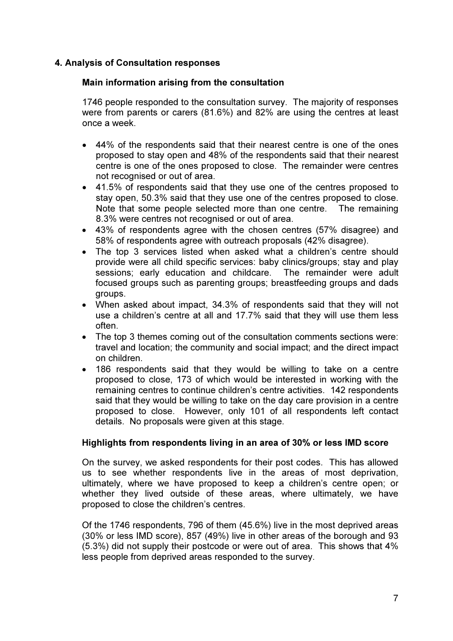## 4. Analysis of Consultation responses

## Main information arising from the consultation

1746 people responded to the consultation survey. The majority of responses were from parents or carers (81.6%) and 82% are using the centres at least once a week.

- 44% of the respondents said that their nearest centre is one of the ones proposed to stay open and 48% of the respondents said that their nearest centre is one of the ones proposed to close. The remainder were centres not recognised or out of area.
- 41.5% of respondents said that they use one of the centres proposed to stay open, 50.3% said that they use one of the centres proposed to close. Note that some people selected more than one centre. The remaining 8.3% were centres not recognised or out of area.
- 43% of respondents agree with the chosen centres (57% disagree) and 58% of respondents agree with outreach proposals (42% disagree).
- The top 3 services listed when asked what a children's centre should provide were all child specific services: baby clinics/groups; stay and play sessions; early education and childcare. The remainder were adult focused groups such as parenting groups; breastfeeding groups and dads groups.
- When asked about impact, 34.3% of respondents said that they will not use a children's centre at all and 17.7% said that they will use them less often.
- The top 3 themes coming out of the consultation comments sections were: travel and location; the community and social impact; and the direct impact on children.
- 186 respondents said that they would be willing to take on a centre proposed to close, 173 of which would be interested in working with the remaining centres to continue children's centre activities. 142 respondents said that they would be willing to take on the day care provision in a centre proposed to close. However, only 101 of all respondents left contact details. No proposals were given at this stage.

## Highlights from respondents living in an area of 30% or less IMD score

On the survey, we asked respondents for their post codes. This has allowed us to see whether respondents live in the areas of most deprivation, ultimately, where we have proposed to keep a children's centre open; or whether they lived outside of these areas, where ultimately, we have proposed to close the children's centres.

Of the 1746 respondents, 796 of them (45.6%) live in the most deprived areas (30% or less IMD score), 857 (49%) live in other areas of the borough and 93 (5.3%) did not supply their postcode or were out of area. This shows that 4% less people from deprived areas responded to the survey.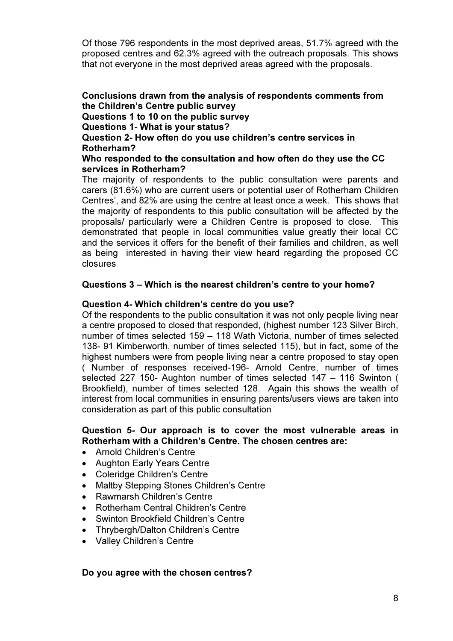Of those 796 respondents in the most deprived areas, 51.7% agreed with the proposed centres and 62.3% agreed with the outreach proposals. This shows that not everyone in the most deprived areas agreed with the proposals.

Conclusions drawn from the analysis of respondents comments from the Children's Centre public survey Questions 1 to 10 on the public survey Questions 1- What is your status? Question 2- How often do you use children's centre services in Rotherham? Who responded to the consultation and how often do they use the CC services in Rotherham?

The majority of respondents to the public consultation were parents and carers (81.6%) who are current users or potential user of Rotherham Children Centres', and 82% are using the centre at least once a week. This shows that the majority of respondents to this public consultation will be affected by the proposals/ particularly were a Children Centre is proposed to close. This demonstrated that people in local communities value greatly their local CC and the services it offers for the benefit of their families and children, as well as being interested in having their view heard regarding the proposed CC closures

#### Questions 3 – Which is the nearest children's centre to your home?

#### Question 4- Which children's centre do you use?

Of the respondents to the public consultation it was not only people living near a centre proposed to closed that responded, (highest number 123 Silver Birch, number of times selected 159 – 118 Wath Victoria, number of times selected 138- 91 Kimberworth, number of times selected 115), but in fact, some of the highest numbers were from people living near a centre proposed to stay open ( Number of responses received-196- Arnold Centre, number of times selected 227 150- Aughton number of times selected 147 – 116 Swinton ( Brookfield), number of times selected 128. Again this shows the wealth of interest from local communities in ensuring parents/users views are taken into consideration as part of this public consultation

## Question 5- Our approach is to cover the most vulnerable areas in Rotherham with a Children's Centre. The chosen centres are:

- Arnold Children's Centre
- Aughton Early Years Centre
- Coleridge Children's Centre
- Maltby Stepping Stones Children's Centre
- Rawmarsh Children's Centre
- Rotherham Central Children's Centre
- Swinton Brookfield Children's Centre
- Thrybergh/Dalton Children's Centre
- Valley Children's Centre

#### Do you agree with the chosen centres?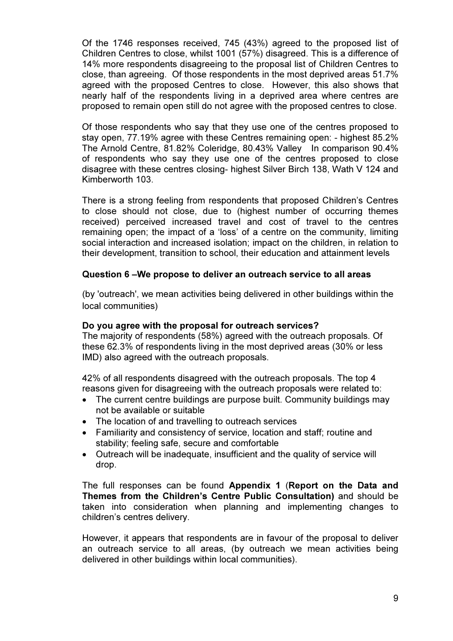Of the 1746 responses received, 745 (43%) agreed to the proposed list of Children Centres to close, whilst 1001 (57%) disagreed. This is a difference of 14% more respondents disagreeing to the proposal list of Children Centres to close, than agreeing. Of those respondents in the most deprived areas 51.7% agreed with the proposed Centres to close. However, this also shows that nearly half of the respondents living in a deprived area where centres are proposed to remain open still do not agree with the proposed centres to close.

Of those respondents who say that they use one of the centres proposed to stay open, 77.19% agree with these Centres remaining open: - highest 85.2% The Arnold Centre, 81.82% Coleridge, 80.43% Valley In comparison 90.4% of respondents who say they use one of the centres proposed to close disagree with these centres closing- highest Silver Birch 138, Wath V 124 and Kimberworth 103.

There is a strong feeling from respondents that proposed Children's Centres to close should not close, due to (highest number of occurring themes received) perceived increased travel and cost of travel to the centres remaining open; the impact of a 'loss' of a centre on the community, limiting social interaction and increased isolation; impact on the children, in relation to their development, transition to school, their education and attainment levels

## Question 6 –We propose to deliver an outreach service to all areas

(by 'outreach', we mean activities being delivered in other buildings within the local communities)

## Do you agree with the proposal for outreach services?

The majority of respondents (58%) agreed with the outreach proposals. Of these 62.3% of respondents living in the most deprived areas (30% or less IMD) also agreed with the outreach proposals.

42% of all respondents disagreed with the outreach proposals. The top 4 reasons given for disagreeing with the outreach proposals were related to:

- The current centre buildings are purpose built. Community buildings may not be available or suitable
- The location of and travelling to outreach services
- Familiarity and consistency of service, location and staff; routine and stability; feeling safe, secure and comfortable
- Outreach will be inadequate, insufficient and the quality of service will drop.

The full responses can be found Appendix 1 (Report on the Data and Themes from the Children's Centre Public Consultation) and should be taken into consideration when planning and implementing changes to children's centres delivery.

However, it appears that respondents are in favour of the proposal to deliver an outreach service to all areas, (by outreach we mean activities being delivered in other buildings within local communities).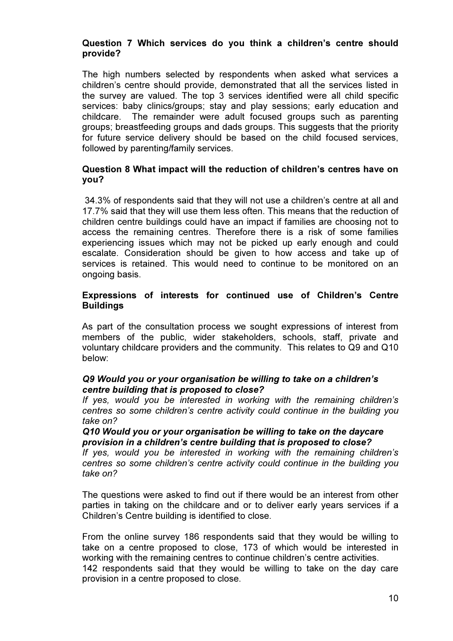## Question 7 Which services do you think a children's centre should provide?

The high numbers selected by respondents when asked what services a children's centre should provide, demonstrated that all the services listed in the survey are valued. The top 3 services identified were all child specific services: baby clinics/groups; stay and play sessions; early education and childcare. The remainder were adult focused groups such as parenting groups; breastfeeding groups and dads groups. This suggests that the priority for future service delivery should be based on the child focused services, followed by parenting/family services.

## Question 8 What impact will the reduction of children's centres have on you?

 34.3% of respondents said that they will not use a children's centre at all and 17.7% said that they will use them less often. This means that the reduction of children centre buildings could have an impact if families are choosing not to access the remaining centres. Therefore there is a risk of some families experiencing issues which may not be picked up early enough and could escalate. Consideration should be given to how access and take up of services is retained. This would need to continue to be monitored on an ongoing basis.

## Expressions of interests for continued use of Children's Centre **Buildings**

As part of the consultation process we sought expressions of interest from members of the public, wider stakeholders, schools, staff, private and voluntary childcare providers and the community. This relates to Q9 and Q10 below:

## Q9 Would you or your organisation be willing to take on a children's centre building that is proposed to close?

If yes, would you be interested in working with the remaining children's centres so some children's centre activity could continue in the building you take on?

#### Q10 Would you or your organisation be willing to take on the daycare provision in a children's centre building that is proposed to close?

If yes, would you be interested in working with the remaining children's centres so some children's centre activity could continue in the building you take on?

The questions were asked to find out if there would be an interest from other parties in taking on the childcare and or to deliver early years services if a Children's Centre building is identified to close.

From the online survey 186 respondents said that they would be willing to take on a centre proposed to close, 173 of which would be interested in working with the remaining centres to continue children's centre activities. 142 respondents said that they would be willing to take on the day care provision in a centre proposed to close.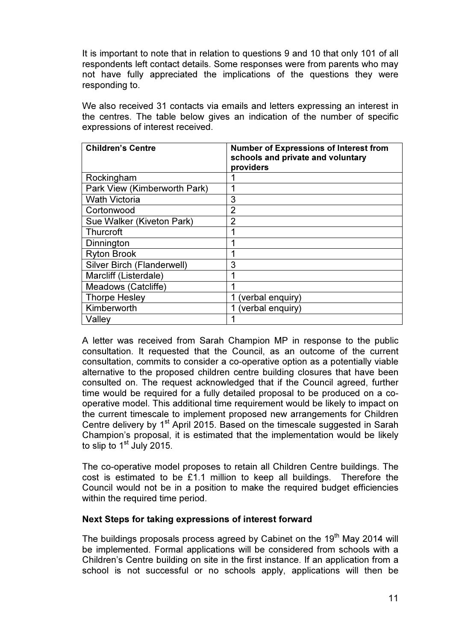It is important to note that in relation to questions 9 and 10 that only 101 of all respondents left contact details. Some responses were from parents who may not have fully appreciated the implications of the questions they were responding to.

We also received 31 contacts via emails and letters expressing an interest in the centres. The table below gives an indication of the number of specific expressions of interest received.

| <b>Children's Centre</b>     | <b>Number of Expressions of Interest from</b><br>schools and private and voluntary<br>providers |
|------------------------------|-------------------------------------------------------------------------------------------------|
| Rockingham                   |                                                                                                 |
| Park View (Kimberworth Park) |                                                                                                 |
| <b>Wath Victoria</b>         | 3                                                                                               |
| Cortonwood                   | 2                                                                                               |
| Sue Walker (Kiveton Park)    | 2                                                                                               |
| Thurcroft                    |                                                                                                 |
| Dinnington                   |                                                                                                 |
| <b>Ryton Brook</b>           |                                                                                                 |
| Silver Birch (Flanderwell)   | 3                                                                                               |
| Marcliff (Listerdale)        |                                                                                                 |
| Meadows (Catcliffe)          |                                                                                                 |
| <b>Thorpe Hesley</b>         | (verbal enquiry)                                                                                |
| Kimberworth                  | (verbal enquiry)                                                                                |
| Valley                       |                                                                                                 |

A letter was received from Sarah Champion MP in response to the public consultation. It requested that the Council, as an outcome of the current consultation, commits to consider a co-operative option as a potentially viable alternative to the proposed children centre building closures that have been consulted on. The request acknowledged that if the Council agreed, further time would be required for a fully detailed proposal to be produced on a cooperative model. This additional time requirement would be likely to impact on the current timescale to implement proposed new arrangements for Children Centre delivery by 1<sup>st</sup> April 2015. Based on the timescale suggested in Sarah Champion's proposal, it is estimated that the implementation would be likely to slip to  $1<sup>st</sup>$  July 2015.

The co-operative model proposes to retain all Children Centre buildings. The cost is estimated to be £1.1 million to keep all buildings. Therefore the Council would not be in a position to make the required budget efficiencies within the required time period.

## Next Steps for taking expressions of interest forward

The buildings proposals process agreed by Cabinet on the 19<sup>th</sup> May 2014 will be implemented. Formal applications will be considered from schools with a Children's Centre building on site in the first instance. If an application from a school is not successful or no schools apply, applications will then be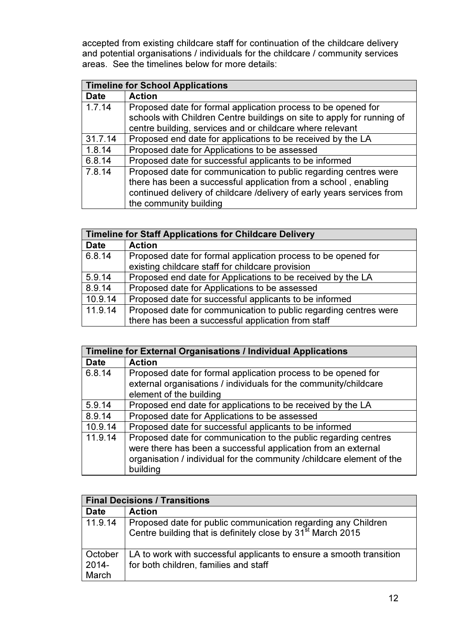accepted from existing childcare staff for continuation of the childcare delivery and potential organisations / individuals for the childcare / community services areas. See the timelines below for more details:

|             | <b>Timeline for School Applications</b>                                                                                                 |  |
|-------------|-----------------------------------------------------------------------------------------------------------------------------------------|--|
| <b>Date</b> | <b>Action</b>                                                                                                                           |  |
| 1.7.14      | Proposed date for formal application process to be opened for<br>schools with Children Centre buildings on site to apply for running of |  |
|             | centre building, services and or childcare where relevant                                                                               |  |
| 31.7.14     | Proposed end date for applications to be received by the LA                                                                             |  |
| 1.8.14      | Proposed date for Applications to be assessed                                                                                           |  |
| 6.8.14      | Proposed date for successful applicants to be informed                                                                                  |  |
| 7.8.14      | Proposed date for communication to public regarding centres were                                                                        |  |
|             | there has been a successful application from a school, enabling                                                                         |  |
|             | continued delivery of childcare /delivery of early years services from                                                                  |  |
|             | the community building                                                                                                                  |  |

| <b>Timeline for Staff Applications for Childcare Delivery</b> |                                                                  |
|---------------------------------------------------------------|------------------------------------------------------------------|
| <b>Date</b>                                                   | <b>Action</b>                                                    |
| 6.8.14                                                        | Proposed date for formal application process to be opened for    |
|                                                               | existing childcare staff for childcare provision                 |
| 5.9.14                                                        | Proposed end date for Applications to be received by the LA      |
| 8.9.14                                                        | Proposed date for Applications to be assessed                    |
| 10.9.14                                                       | Proposed date for successful applicants to be informed           |
| 11.9.14                                                       | Proposed date for communication to public regarding centres were |
|                                                               | there has been a successful application from staff               |

| <b>Timeline for External Organisations / Individual Applications</b> |                                                                                                                                  |
|----------------------------------------------------------------------|----------------------------------------------------------------------------------------------------------------------------------|
| <b>Date</b>                                                          | <b>Action</b>                                                                                                                    |
| 6.8.14                                                               | Proposed date for formal application process to be opened for                                                                    |
|                                                                      | external organisations / individuals for the community/childcare                                                                 |
|                                                                      | element of the building                                                                                                          |
| 5.9.14                                                               | Proposed end date for applications to be received by the LA                                                                      |
| 8.9.14                                                               | Proposed date for Applications to be assessed                                                                                    |
| 10.9.14                                                              | Proposed date for successful applicants to be informed                                                                           |
| 11.9.14                                                              | Proposed date for communication to the public regarding centres<br>were there has been a successful application from an external |
|                                                                      | organisation / individual for the community / childcare element of the                                                           |
|                                                                      |                                                                                                                                  |
|                                                                      | building                                                                                                                         |

| <b>Final Decisions / Transitions</b> |                                                                                                                                          |
|--------------------------------------|------------------------------------------------------------------------------------------------------------------------------------------|
| <b>Date</b>                          | <b>Action</b>                                                                                                                            |
| 11.9.14                              | Proposed date for public communication regarding any Children<br>Centre building that is definitely close by 31 <sup>st</sup> March 2015 |
| October<br>2014-<br>March            | LA to work with successful applicants to ensure a smooth transition<br>for both children, families and staff                             |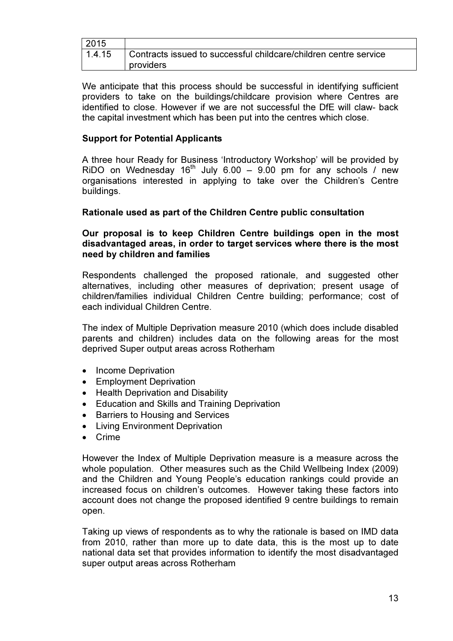| 2015   |                                                                  |
|--------|------------------------------------------------------------------|
| 1.4.15 | Contracts issued to successful childcare/children centre service |
|        | providers                                                        |

We anticipate that this process should be successful in identifying sufficient providers to take on the buildings/childcare provision where Centres are identified to close. However if we are not successful the DfE will claw- back the capital investment which has been put into the centres which close.

## Support for Potential Applicants

A three hour Ready for Business 'Introductory Workshop' will be provided by RiDO on Wednesday  $16<sup>th</sup>$  July 6.00 – 9.00 pm for any schools / new organisations interested in applying to take over the Children's Centre buildings.

## Rationale used as part of the Children Centre public consultation

Our proposal is to keep Children Centre buildings open in the most disadvantaged areas, in order to target services where there is the most need by children and families

Respondents challenged the proposed rationale, and suggested other alternatives, including other measures of deprivation; present usage of children/families individual Children Centre building; performance; cost of each individual Children Centre.

The index of Multiple Deprivation measure 2010 (which does include disabled parents and children) includes data on the following areas for the most deprived Super output areas across Rotherham

- Income Deprivation
- Employment Deprivation
- Health Deprivation and Disability
- Education and Skills and Training Deprivation
- Barriers to Housing and Services
- Living Environment Deprivation
- Crime

However the Index of Multiple Deprivation measure is a measure across the whole population. Other measures such as the Child Wellbeing Index (2009) and the Children and Young People's education rankings could provide an increased focus on children's outcomes. However taking these factors into account does not change the proposed identified 9 centre buildings to remain open.

Taking up views of respondents as to why the rationale is based on IMD data from 2010, rather than more up to date data, this is the most up to date national data set that provides information to identify the most disadvantaged super output areas across Rotherham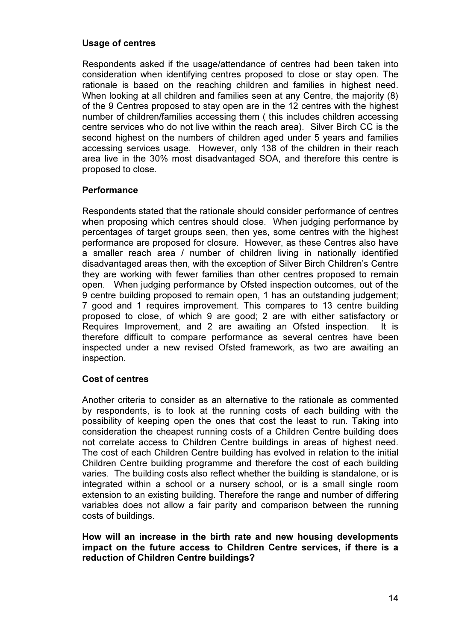## Usage of centres

Respondents asked if the usage/attendance of centres had been taken into consideration when identifying centres proposed to close or stay open. The rationale is based on the reaching children and families in highest need. When looking at all children and families seen at any Centre, the majority (8) of the 9 Centres proposed to stay open are in the 12 centres with the highest number of children/families accessing them ( this includes children accessing centre services who do not live within the reach area). Silver Birch CC is the second highest on the numbers of children aged under 5 years and families accessing services usage. However, only 138 of the children in their reach area live in the 30% most disadvantaged SOA, and therefore this centre is proposed to close.

## **Performance**

Respondents stated that the rationale should consider performance of centres when proposing which centres should close. When judging performance by percentages of target groups seen, then yes, some centres with the highest performance are proposed for closure. However, as these Centres also have a smaller reach area / number of children living in nationally identified disadvantaged areas then, with the exception of Silver Birch Children's Centre they are working with fewer families than other centres proposed to remain open. When judging performance by Ofsted inspection outcomes, out of the 9 centre building proposed to remain open, 1 has an outstanding judgement; 7 good and 1 requires improvement. This compares to 13 centre building proposed to close, of which 9 are good; 2 are with either satisfactory or Requires Improvement, and 2 are awaiting an Ofsted inspection. It is therefore difficult to compare performance as several centres have been inspected under a new revised Ofsted framework, as two are awaiting an inspection.

## Cost of centres

Another criteria to consider as an alternative to the rationale as commented by respondents, is to look at the running costs of each building with the possibility of keeping open the ones that cost the least to run. Taking into consideration the cheapest running costs of a Children Centre building does not correlate access to Children Centre buildings in areas of highest need. The cost of each Children Centre building has evolved in relation to the initial Children Centre building programme and therefore the cost of each building varies. The building costs also reflect whether the building is standalone, or is integrated within a school or a nursery school, or is a small single room extension to an existing building. Therefore the range and number of differing variables does not allow a fair parity and comparison between the running costs of buildings.

How will an increase in the birth rate and new housing developments impact on the future access to Children Centre services, if there is a reduction of Children Centre buildings?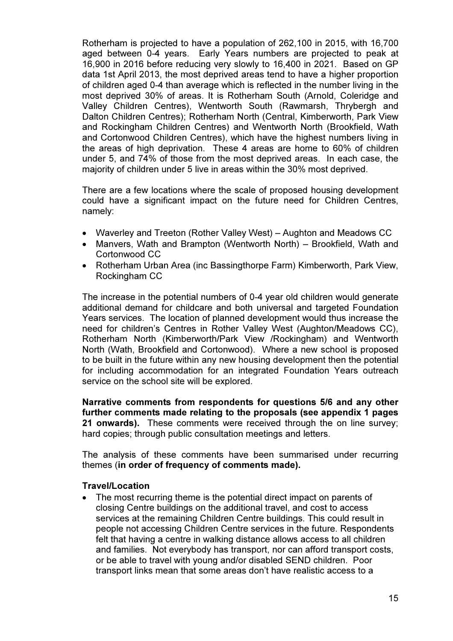Rotherham is projected to have a population of 262,100 in 2015, with 16,700 aged between 0-4 years. Early Years numbers are projected to peak at 16,900 in 2016 before reducing very slowly to 16,400 in 2021. Based on GP data 1st April 2013, the most deprived areas tend to have a higher proportion of children aged 0-4 than average which is reflected in the number living in the most deprived 30% of areas. It is Rotherham South (Arnold, Coleridge and Valley Children Centres), Wentworth South (Rawmarsh, Thrybergh and Dalton Children Centres); Rotherham North (Central, Kimberworth, Park View and Rockingham Children Centres) and Wentworth North (Brookfield, Wath and Cortonwood Children Centres), which have the highest numbers living in the areas of high deprivation. These 4 areas are home to 60% of children under 5, and 74% of those from the most deprived areas. In each case, the majority of children under 5 live in areas within the 30% most deprived.

There are a few locations where the scale of proposed housing development could have a significant impact on the future need for Children Centres, namely:

- Waverley and Treeton (Rother Valley West) Aughton and Meadows CC
- Manvers, Wath and Brampton (Wentworth North) Brookfield, Wath and Cortonwood CC
- Rotherham Urban Area (inc Bassingthorpe Farm) Kimberworth, Park View, Rockingham CC

The increase in the potential numbers of 0-4 year old children would generate additional demand for childcare and both universal and targeted Foundation Years services. The location of planned development would thus increase the need for children's Centres in Rother Valley West (Aughton/Meadows CC), Rotherham North (Kimberworth/Park View /Rockingham) and Wentworth North (Wath, Brookfield and Cortonwood). Where a new school is proposed to be built in the future within any new housing development then the potential for including accommodation for an integrated Foundation Years outreach service on the school site will be explored.

Narrative comments from respondents for questions 5/6 and any other further comments made relating to the proposals (see appendix 1 pages 21 onwards). These comments were received through the on line survey; hard copies; through public consultation meetings and letters.

The analysis of these comments have been summarised under recurring themes (in order of frequency of comments made).

## Travel/Location

The most recurring theme is the potential direct impact on parents of closing Centre buildings on the additional travel, and cost to access services at the remaining Children Centre buildings. This could result in people not accessing Children Centre services in the future. Respondents felt that having a centre in walking distance allows access to all children and families. Not everybody has transport, nor can afford transport costs, or be able to travel with young and/or disabled SEND children. Poor transport links mean that some areas don't have realistic access to a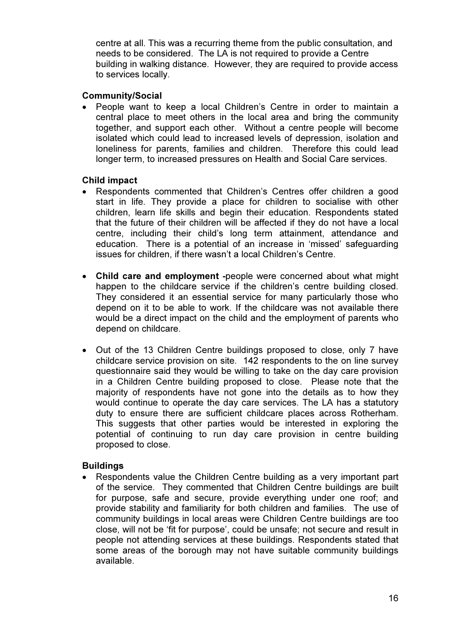centre at all. This was a recurring theme from the public consultation, and needs to be considered. The LA is not required to provide a Centre building in walking distance. However, they are required to provide access to services locally.

### Community/Social

• People want to keep a local Children's Centre in order to maintain a central place to meet others in the local area and bring the community together, and support each other. Without a centre people will become isolated which could lead to increased levels of depression, isolation and loneliness for parents, families and children. Therefore this could lead longer term, to increased pressures on Health and Social Care services.

## Child impact

- Respondents commented that Children's Centres offer children a good start in life. They provide a place for children to socialise with other children, learn life skills and begin their education. Respondents stated that the future of their children will be affected if they do not have a local centre, including their child's long term attainment, attendance and education. There is a potential of an increase in 'missed' safeguarding issues for children, if there wasn't a local Children's Centre.
- Child care and employment -people were concerned about what might happen to the childcare service if the children's centre building closed. They considered it an essential service for many particularly those who depend on it to be able to work. If the childcare was not available there would be a direct impact on the child and the employment of parents who depend on childcare.
- Out of the 13 Children Centre buildings proposed to close, only 7 have childcare service provision on site. 142 respondents to the on line survey questionnaire said they would be willing to take on the day care provision in a Children Centre building proposed to close. Please note that the majority of respondents have not gone into the details as to how they would continue to operate the day care services. The LA has a statutory duty to ensure there are sufficient childcare places across Rotherham. This suggests that other parties would be interested in exploring the potential of continuing to run day care provision in centre building proposed to close.

## **Buildings**

• Respondents value the Children Centre building as a very important part of the service. They commented that Children Centre buildings are built for purpose, safe and secure, provide everything under one roof; and provide stability and familiarity for both children and families. The use of community buildings in local areas were Children Centre buildings are too close, will not be 'fit for purpose', could be unsafe; not secure and result in people not attending services at these buildings. Respondents stated that some areas of the borough may not have suitable community buildings available.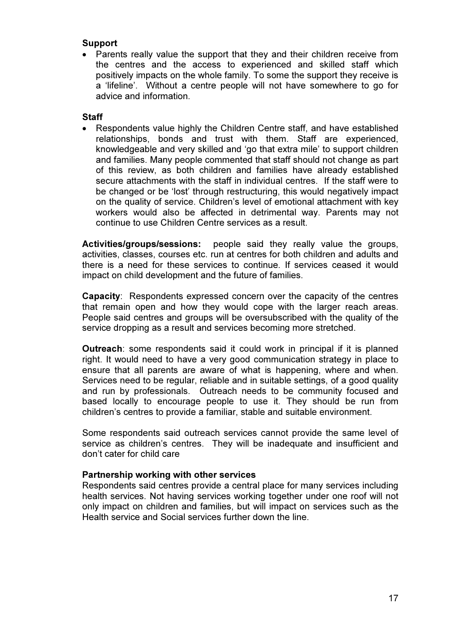## Support

• Parents really value the support that they and their children receive from the centres and the access to experienced and skilled staff which positively impacts on the whole family. To some the support they receive is a 'lifeline'. Without a centre people will not have somewhere to go for advice and information.

## **Staff**

• Respondents value highly the Children Centre staff, and have established relationships, bonds and trust with them. Staff are experienced, knowledgeable and very skilled and 'go that extra mile' to support children and families. Many people commented that staff should not change as part of this review, as both children and families have already established secure attachments with the staff in individual centres. If the staff were to be changed or be 'lost' through restructuring, this would negatively impact on the quality of service. Children's level of emotional attachment with key workers would also be affected in detrimental way. Parents may not continue to use Children Centre services as a result.

Activities/groups/sessions: people said they really value the groups, activities, classes, courses etc. run at centres for both children and adults and there is a need for these services to continue. If services ceased it would impact on child development and the future of families.

Capacity: Respondents expressed concern over the capacity of the centres that remain open and how they would cope with the larger reach areas. People said centres and groups will be oversubscribed with the quality of the service dropping as a result and services becoming more stretched.

Outreach: some respondents said it could work in principal if it is planned right. It would need to have a very good communication strategy in place to ensure that all parents are aware of what is happening, where and when. Services need to be regular, reliable and in suitable settings, of a good quality and run by professionals. Outreach needs to be community focused and based locally to encourage people to use it. They should be run from children's centres to provide a familiar, stable and suitable environment.

Some respondents said outreach services cannot provide the same level of service as children's centres. They will be inadequate and insufficient and don't cater for child care

## Partnership working with other services

Respondents said centres provide a central place for many services including health services. Not having services working together under one roof will not only impact on children and families, but will impact on services such as the Health service and Social services further down the line.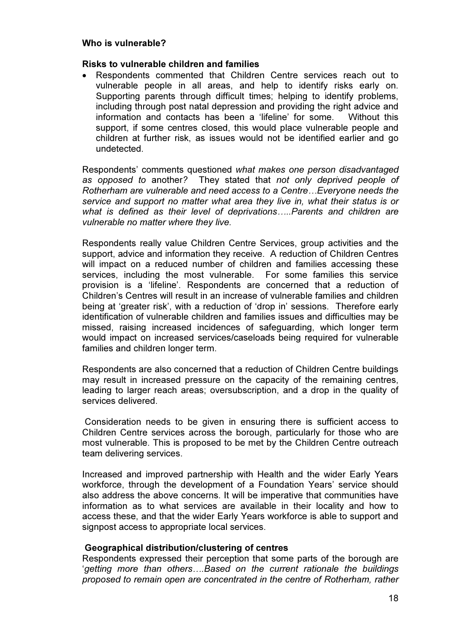### Risks to vulnerable children and families

• Respondents commented that Children Centre services reach out to vulnerable people in all areas, and help to identify risks early on. Supporting parents through difficult times; helping to identify problems, including through post natal depression and providing the right advice and information and contacts has been a 'lifeline' for some. Without this support, if some centres closed, this would place vulnerable people and children at further risk, as issues would not be identified earlier and go undetected.

Respondents' comments questioned what makes one person disadvantaged as opposed to another? They stated that not only deprived people of Rotherham are vulnerable and need access to a Centre…Everyone needs the service and support no matter what area they live in, what their status is or what is defined as their level of deprivations.....Parents and children are vulnerable no matter where they live.

Respondents really value Children Centre Services, group activities and the support, advice and information they receive. A reduction of Children Centres will impact on a reduced number of children and families accessing these services, including the most vulnerable. For some families this service provision is a 'lifeline'. Respondents are concerned that a reduction of Children's Centres will result in an increase of vulnerable families and children being at 'greater risk', with a reduction of 'drop in' sessions. Therefore early identification of vulnerable children and families issues and difficulties may be missed, raising increased incidences of safeguarding, which longer term would impact on increased services/caseloads being required for vulnerable families and children longer term.

Respondents are also concerned that a reduction of Children Centre buildings may result in increased pressure on the capacity of the remaining centres, leading to larger reach areas; oversubscription, and a drop in the quality of services delivered.

 Consideration needs to be given in ensuring there is sufficient access to Children Centre services across the borough, particularly for those who are most vulnerable. This is proposed to be met by the Children Centre outreach team delivering services.

Increased and improved partnership with Health and the wider Early Years workforce, through the development of a Foundation Years' service should also address the above concerns. It will be imperative that communities have information as to what services are available in their locality and how to access these, and that the wider Early Years workforce is able to support and signpost access to appropriate local services.

## Geographical distribution/clustering of centres

Respondents expressed their perception that some parts of the borough are 'getting more than others….Based on the current rationale the buildings proposed to remain open are concentrated in the centre of Rotherham, rather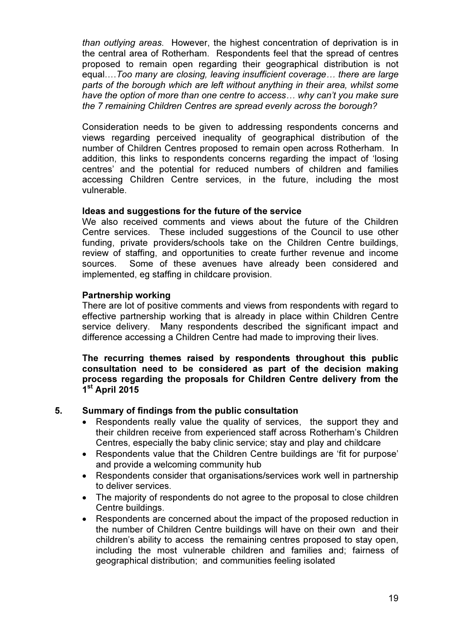than outlying areas. However, the highest concentration of deprivation is in the central area of Rotherham. Respondents feel that the spread of centres proposed to remain open regarding their geographical distribution is not equal….Too many are closing, leaving insufficient coverage… there are large parts of the borough which are left without anything in their area, whilst some have the option of more than one centre to access… why can't you make sure the 7 remaining Children Centres are spread evenly across the borough?

Consideration needs to be given to addressing respondents concerns and views regarding perceived inequality of geographical distribution of the number of Children Centres proposed to remain open across Rotherham. In addition, this links to respondents concerns regarding the impact of 'losing centres' and the potential for reduced numbers of children and families accessing Children Centre services, in the future, including the most vulnerable.

## Ideas and suggestions for the future of the service

We also received comments and views about the future of the Children Centre services. These included suggestions of the Council to use other funding, private providers/schools take on the Children Centre buildings, review of staffing, and opportunities to create further revenue and income sources. Some of these avenues have already been considered and implemented, eg staffing in childcare provision.

#### Partnership working

There are lot of positive comments and views from respondents with regard to effective partnership working that is already in place within Children Centre service delivery. Many respondents described the significant impact and difference accessing a Children Centre had made to improving their lives.

The recurring themes raised by respondents throughout this public consultation need to be considered as part of the decision making process regarding the proposals for Children Centre delivery from the 1<sup>st</sup> April 2015

## 5. Summary of findings from the public consultation

- Respondents really value the quality of services, the support they and their children receive from experienced staff across Rotherham's Children Centres, especially the baby clinic service; stay and play and childcare
- Respondents value that the Children Centre buildings are 'fit for purpose' and provide a welcoming community hub
- Respondents consider that organisations/services work well in partnership to deliver services.
- The majority of respondents do not agree to the proposal to close children Centre buildings.
- Respondents are concerned about the impact of the proposed reduction in the number of Children Centre buildings will have on their own and their children's ability to access the remaining centres proposed to stay open, including the most vulnerable children and families and; fairness of geographical distribution; and communities feeling isolated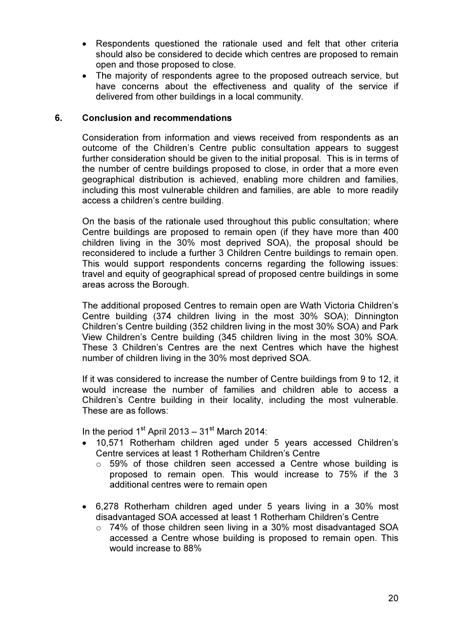- Respondents questioned the rationale used and felt that other criteria should also be considered to decide which centres are proposed to remain open and those proposed to close.
- The majority of respondents agree to the proposed outreach service, but have concerns about the effectiveness and quality of the service if delivered from other buildings in a local community.

### 6. Conclusion and recommendations

Consideration from information and views received from respondents as an outcome of the Children's Centre public consultation appears to suggest further consideration should be given to the initial proposal. This is in terms of the number of centre buildings proposed to close, in order that a more even geographical distribution is achieved, enabling more children and families, including this most vulnerable children and families, are able to more readily access a children's centre building.

On the basis of the rationale used throughout this public consultation; where Centre buildings are proposed to remain open (if they have more than 400 children living in the 30% most deprived SOA), the proposal should be reconsidered to include a further 3 Children Centre buildings to remain open. This would support respondents concerns regarding the following issues: travel and equity of geographical spread of proposed centre buildings in some areas across the Borough.

The additional proposed Centres to remain open are Wath Victoria Children's Centre building (374 children living in the most 30% SOA); Dinnington Children's Centre building (352 children living in the most 30% SOA) and Park View Children's Centre building (345 children living in the most 30% SOA. These 3 Children's Centres are the next Centres which have the highest number of children living in the 30% most deprived SOA.

If it was considered to increase the number of Centre buildings from 9 to 12, it would increase the number of families and children able to access a Children's Centre building in their locality, including the most vulnerable. These are as follows:

In the period  $1<sup>st</sup>$  April 2013 – 31<sup>st</sup> March 2014:

- 10,571 Rotherham children aged under 5 years accessed Children's Centre services at least 1 Rotherham Children's Centre
	- $\circ$  59% of those children seen accessed a Centre whose building is proposed to remain open. This would increase to 75% if the 3 additional centres were to remain open
- 6,278 Rotherham children aged under 5 years living in a 30% most disadvantaged SOA accessed at least 1 Rotherham Children's Centre
	- $\circ$  74% of those children seen living in a 30% most disadvantaged SOA accessed a Centre whose building is proposed to remain open. This would increase to 88%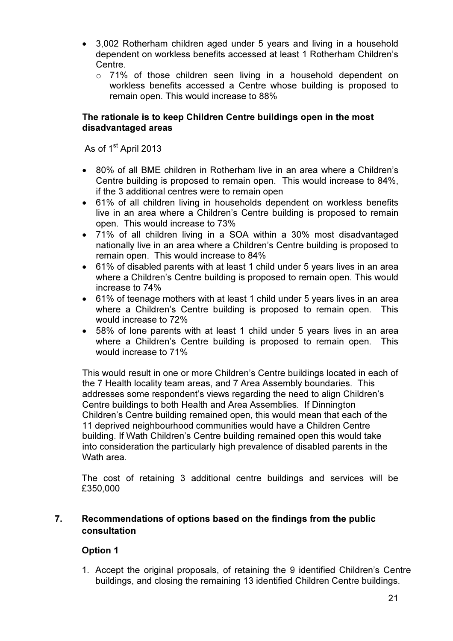- 3,002 Rotherham children aged under 5 years and living in a household dependent on workless benefits accessed at least 1 Rotherham Children's **Centre** 
	- o 71% of those children seen living in a household dependent on workless benefits accessed a Centre whose building is proposed to remain open. This would increase to 88%

## The rationale is to keep Children Centre buildings open in the most disadvantaged areas

As of 1<sup>st</sup> April 2013

- 80% of all BME children in Rotherham live in an area where a Children's Centre building is proposed to remain open. This would increase to 84%, if the 3 additional centres were to remain open
- 61% of all children living in households dependent on workless benefits live in an area where a Children's Centre building is proposed to remain open. This would increase to 73%
- 71% of all children living in a SOA within a 30% most disadvantaged nationally live in an area where a Children's Centre building is proposed to remain open. This would increase to 84%
- 61% of disabled parents with at least 1 child under 5 years lives in an area where a Children's Centre building is proposed to remain open. This would increase to 74%
- 61% of teenage mothers with at least 1 child under 5 years lives in an area where a Children's Centre building is proposed to remain open. This would increase to 72%
- 58% of lone parents with at least 1 child under 5 years lives in an area where a Children's Centre building is proposed to remain open. This would increase to 71%

This would result in one or more Children's Centre buildings located in each of the 7 Health locality team areas, and 7 Area Assembly boundaries. This addresses some respondent's views regarding the need to align Children's Centre buildings to both Health and Area Assemblies. If Dinnington Children's Centre building remained open, this would mean that each of the 11 deprived neighbourhood communities would have a Children Centre building. If Wath Children's Centre building remained open this would take into consideration the particularly high prevalence of disabled parents in the Wath area

The cost of retaining 3 additional centre buildings and services will be £350,000

## 7. Recommendations of options based on the findings from the public consultation

## Option 1

1. Accept the original proposals, of retaining the 9 identified Children's Centre buildings, and closing the remaining 13 identified Children Centre buildings.